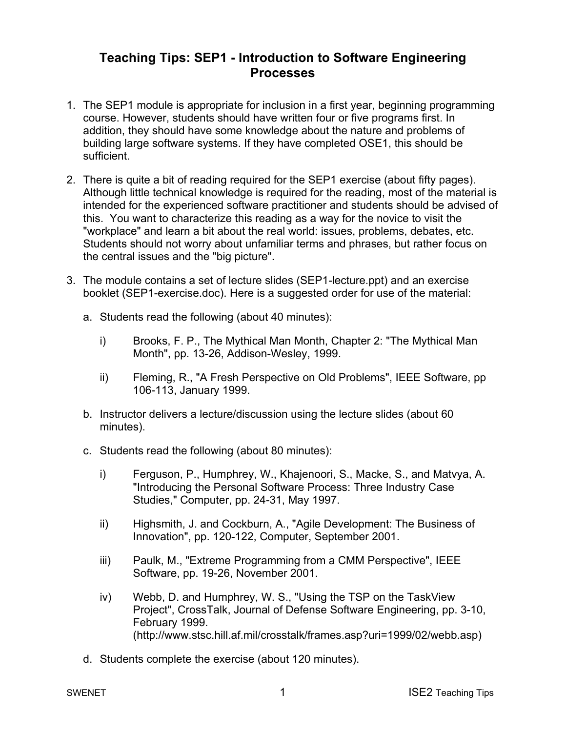## **Teaching Tips: SEP1 - Introduction to Software Engineering Processes**

- 1. The SEP1 module is appropriate for inclusion in a first year, beginning programming course. However, students should have written four or five programs first. In addition, they should have some knowledge about the nature and problems of building large software systems. If they have completed OSE1, this should be sufficient.
- 2. There is quite a bit of reading required for the SEP1 exercise (about fifty pages). Although little technical knowledge is required for the reading, most of the material is intended for the experienced software practitioner and students should be advised of this. You want to characterize this reading as a way for the novice to visit the "workplace" and learn a bit about the real world: issues, problems, debates, etc. Students should not worry about unfamiliar terms and phrases, but rather focus on the central issues and the "big picture".
- 3. The module contains a set of lecture slides (SEP1-lecture.ppt) and an exercise booklet (SEP1-exercise.doc). Here is a suggested order for use of the material:
	- a. Students read the following (about 40 minutes):
		- i) Brooks, F. P., The Mythical Man Month, Chapter 2: "The Mythical Man Month", pp. 13-26, Addison-Wesley, 1999.
		- ii) Fleming, R., "A Fresh Perspective on Old Problems", IEEE Software, pp 106-113, January 1999.
	- b. Instructor delivers a lecture/discussion using the lecture slides (about 60 minutes).
	- c. Students read the following (about 80 minutes):
		- i) Ferguson, P., Humphrey, W., Khajenoori, S., Macke, S., and Matvya, A. "Introducing the Personal Software Process: Three Industry Case Studies," Computer, pp. 24-31, May 1997.
		- ii) Highsmith, J. and Cockburn, A., "Agile Development: The Business of Innovation", pp. 120-122, Computer, September 2001.
		- iii) Paulk, M., "Extreme Programming from a CMM Perspective", IEEE Software, pp. 19-26, November 2001.
		- iv) Webb, D. and Humphrey, W. S., "Using the TSP on the TaskView Project", CrossTalk, Journal of Defense Software Engineering, pp. 3-10, February 1999. (http://www.stsc.hill.af.mil/crosstalk/frames.asp?uri=1999/02/webb.asp)
	- d. Students complete the exercise (about 120 minutes).